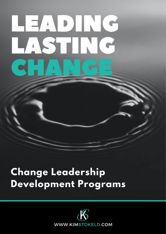# HEADING STIN  $\overline{A}$

# **Change Leadership Development Programs**

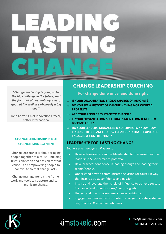# 

*"Change leadership is going to be the big challenge in the future, and the fact that almost nobody is very good at it – well, it's obviously a big deal"* 

John Kotter, Chief Innovation Officer, Kotter International

#### **CHANGE LEADERSHIP IS NOT CHANGE MANAGEMENT**

**Change leadership** is about bringing people together to a cause—building trust, conviction and passion for that cause—and empowering people to contribute so that change lasts.

**Change management** is the framework and tools to structure and communicate change.

#### **CHANGE LEADERSHIP COACHING**

**For change done once, and done right**

- **IS YOUR ORGANISATION FACING CHANGE OR REFORM ?**
- **DO YOU SEE A HISTORY OF CHANGE HAVING NOT WORKED PROPERLY?**
- **ARE YOUR PEOPLE RESISTANT TO CHANGE?**
- **IS YOUR ORGANISATION SUFFERING STAGNATION & NEED TO BECOME AGILE?**
- **DO YOUR LEADERS, MANAGERS & SUPERVISORS KNOW HOW TO LEAD THEIR TEAM THROUGH CHANGE SO THAT PEOPLE ARE ENGAGED & CONTRIBUTING?**

#### **LEADERSHIP FOR LASTING CHANGE**

*Leaders and managers will learn to:*

- Have self-awareness and self-leadership to maximise their own leadership & performance potential.
- Have practical confidence in leading change and leading their teams/people.
- Understand how to communicate the vision (or cause) in way that inspires trust, confidence and passion.
- Inspire and leverage their circle of influence to achieve success in change (and other business/personal goals).
- Understand how to overcome 'change resistance'.
- Engage their people to contribute to change to create sustainable, practical & effective outcomes.



# kimstokeld.com

**E: me@kimstokeld.com M: +61 416 261 336**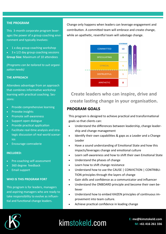#### **THE PROGRAM**

This 3-month corporate program leverages the power of a group coaching environment and typically involves:

1 x day group coaching workshop

• 3 x 1/2 day group coaching sessions **Group Size:** Maximum of 10 attendees

*(Programs can be tailored to suit organisation needs)*

#### **THE APPROACH**

Attendees advantage from an approach that combines informative workshop learning with practical coaching. Sessions:

- Provide comprehensive learning
- Provoke insights
- Promote self-awareness
- Support open dialogue
- Provide practical application
- Facilitate real-time analysis and strategic discussion of real-world scenarios
- Encourage comraderie

#### **INCLUDED:**

- Pre-coaching self-assessment
- 360 degree feedback
- Email support

#### **WHO IS THIS PROGRAM FOR?**

This program is for leaders, managers and aspiring managers who are ready to take responsibility to evolve as influential and functional change leaders.

Change only happens when leaders can leverage engagement and contribution. A committed team will embrace and create change, while an apathetic, resentful team will sabotage change.



**Create leaders who can inspire, drive and create lasting change in your organisation.** 

#### **PROGRAM GOALS**

This program is designed to achieve practical and transformational goals so that clients can:

- Understand the differences between leadership, change leadership and change management
- Identify their own capabilities & gaps as a Leader and a Change Leader
- Have a sound understanding of Emotional State and how this impacts/leverages change and emotional culture
- Learn self-awareness and how to shift their own Emotional State
- Understand the phases of change
- Learn how to shift change resistance
- Understand how to use the CAUSE | CONVICTION | CONTRIBU-TION principles through the layers of change
- Gain skills and confidence as a communicator and influencer
- Understand the ONBOARD principle and become their own believer
- Understand how to embed KAIZEN principles of continuous improvement into team culture.
- Achieve practical confidence in leading change



### kimstokeld.com

**E: me@kimstokeld.com M: +61 416 261 336**